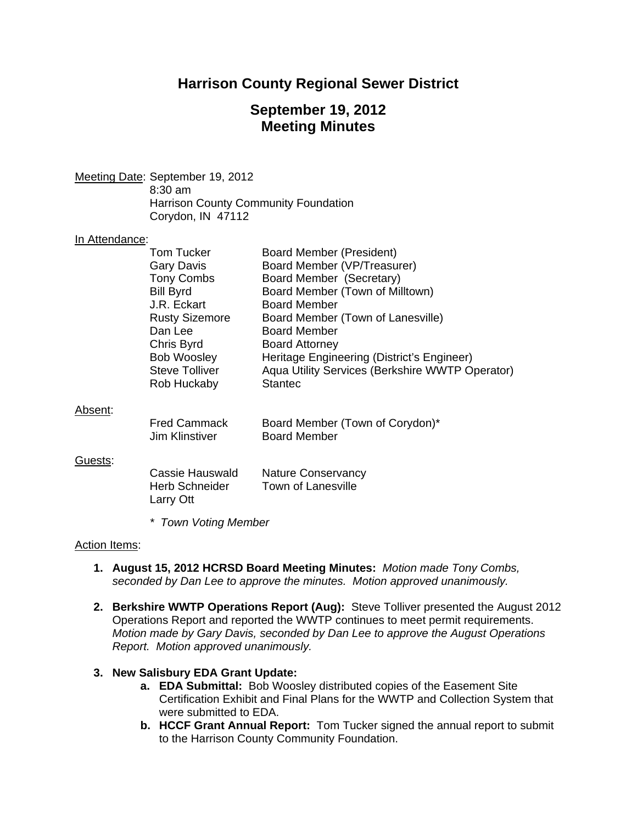# **Harrison County Regional Sewer District**

# **September 19, 2012 Meeting Minutes**

Meeting Date: September 19, 2012 8:30 am Harrison County Community Foundation Corydon, IN 47112

#### In Attendance:

| Tom Tucker            | Board Member (President)                        |
|-----------------------|-------------------------------------------------|
| Gary Davis            | Board Member (VP/Treasurer)                     |
| <b>Tony Combs</b>     | Board Member (Secretary)                        |
| <b>Bill Byrd</b>      | Board Member (Town of Milltown)                 |
| J.R. Eckart           | <b>Board Member</b>                             |
| <b>Rusty Sizemore</b> | Board Member (Town of Lanesville)               |
| Dan Lee               | <b>Board Member</b>                             |
| Chris Byrd            | <b>Board Attorney</b>                           |
| <b>Bob Woosley</b>    | Heritage Engineering (District's Engineer)      |
| <b>Steve Tolliver</b> | Aqua Utility Services (Berkshire WWTP Operator) |
| Rob Huckaby           | <b>Stantec</b>                                  |
|                       |                                                 |

#### Absent:

| <b>Fred Cammack</b> | Board Member (Town of Corydon)* |
|---------------------|---------------------------------|
| Jim Klinstiver      | <b>Board Member</b>             |

#### Guests:

| Cassie Hauswald       | <b>Nature Conservancy</b> |
|-----------------------|---------------------------|
| <b>Herb Schneider</b> | Town of Lanesville        |
| Larry Ott             |                           |

*\* Town Voting Member* 

### Action Items:

- **1. August 15, 2012 HCRSD Board Meeting Minutes:** *Motion made Tony Combs, seconded by Dan Lee to approve the minutes. Motion approved unanimously.*
- **2. Berkshire WWTP Operations Report (Aug):** Steve Tolliver presented the August 2012 Operations Report and reported the WWTP continues to meet permit requirements. *Motion made by Gary Davis, seconded by Dan Lee to approve the August Operations Report. Motion approved unanimously.*

### **3. New Salisbury EDA Grant Update:**

- **a. EDA Submittal:** Bob Woosley distributed copies of the Easement Site Certification Exhibit and Final Plans for the WWTP and Collection System that were submitted to EDA.
- **b. HCCF Grant Annual Report:** Tom Tucker signed the annual report to submit to the Harrison County Community Foundation.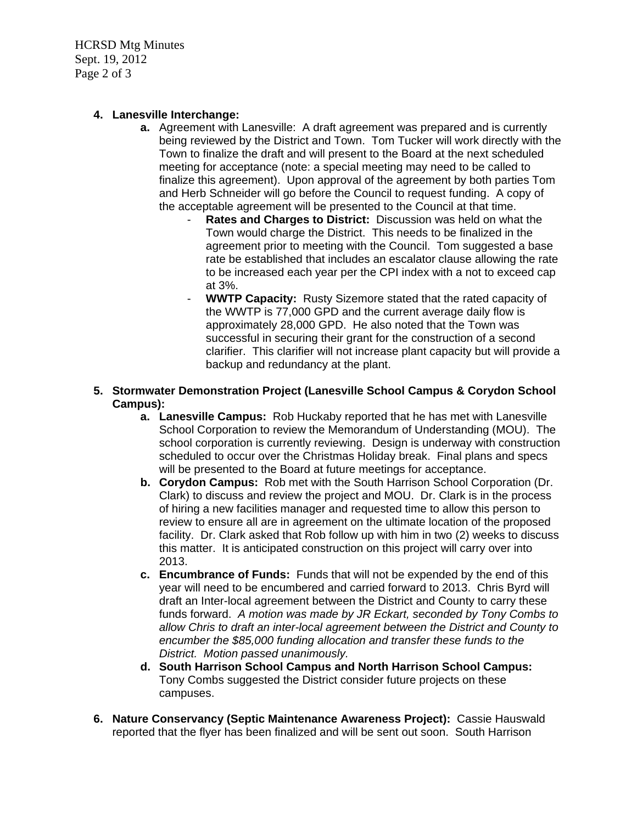HCRSD Mtg Minutes Sept. 19, 2012 Page 2 of 3

## **4. Lanesville Interchange:**

- **a.** Agreement with Lanesville: A draft agreement was prepared and is currently being reviewed by the District and Town. Tom Tucker will work directly with the Town to finalize the draft and will present to the Board at the next scheduled meeting for acceptance (note: a special meeting may need to be called to finalize this agreement). Upon approval of the agreement by both parties Tom and Herb Schneider will go before the Council to request funding. A copy of the acceptable agreement will be presented to the Council at that time.
	- **Rates and Charges to District:** Discussion was held on what the Town would charge the District. This needs to be finalized in the agreement prior to meeting with the Council. Tom suggested a base rate be established that includes an escalator clause allowing the rate to be increased each year per the CPI index with a not to exceed cap at 3%.
	- **WWTP Capacity:** Rusty Sizemore stated that the rated capacity of the WWTP is 77,000 GPD and the current average daily flow is approximately 28,000 GPD. He also noted that the Town was successful in securing their grant for the construction of a second clarifier. This clarifier will not increase plant capacity but will provide a backup and redundancy at the plant.
- **5. Stormwater Demonstration Project (Lanesville School Campus & Corydon School Campus):** 
	- **a. Lanesville Campus:** Rob Huckaby reported that he has met with Lanesville School Corporation to review the Memorandum of Understanding (MOU). The school corporation is currently reviewing. Design is underway with construction scheduled to occur over the Christmas Holiday break. Final plans and specs will be presented to the Board at future meetings for acceptance.
	- **b. Corydon Campus:**Rob met with the South Harrison School Corporation (Dr. Clark) to discuss and review the project and MOU. Dr. Clark is in the process of hiring a new facilities manager and requested time to allow this person to review to ensure all are in agreement on the ultimate location of the proposed facility. Dr. Clark asked that Rob follow up with him in two (2) weeks to discuss this matter. It is anticipated construction on this project will carry over into 2013.
	- **c. Encumbrance of Funds:**Funds that will not be expended by the end of this year will need to be encumbered and carried forward to 2013. Chris Byrd will draft an Inter-local agreement between the District and County to carry these funds forward. *A motion was made by JR Eckart, seconded by Tony Combs to allow Chris to draft an inter-local agreement between the District and County to encumber the \$85,000 funding allocation and transfer these funds to the District. Motion passed unanimously.*
	- **d. South Harrison School Campus and North Harrison School Campus:** Tony Combs suggested the District consider future projects on these campuses.
- **6. Nature Conservancy (Septic Maintenance Awareness Project):** Cassie Hauswald reported that the flyer has been finalized and will be sent out soon. South Harrison